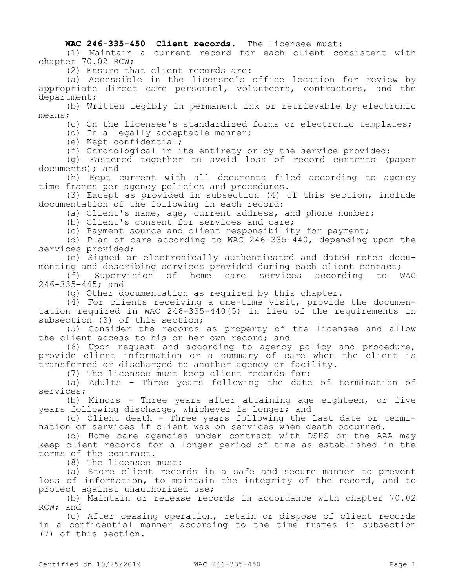## **WAC 246-335-450 Client records.** The licensee must:

(1) Maintain a current record for each client consistent with chapter 70.02 RCW;

(2) Ensure that client records are:

(a) Accessible in the licensee's office location for review by appropriate direct care personnel, volunteers, contractors, and the department;

(b) Written legibly in permanent ink or retrievable by electronic means;

(c) On the licensee's standardized forms or electronic templates;

(d) In a legally acceptable manner;

(e) Kept confidential;

(f) Chronological in its entirety or by the service provided;

(g) Fastened together to avoid loss of record contents (paper documents); and

(h) Kept current with all documents filed according to agency time frames per agency policies and procedures.

(3) Except as provided in subsection (4) of this section, include documentation of the following in each record:

(a) Client's name, age, current address, and phone number;

(b) Client's consent for services and care;

(c) Payment source and client responsibility for payment;

(d) Plan of care according to WAC 246-335-440, depending upon the services provided;

(e) Signed or electronically authenticated and dated notes documenting and describing services provided during each client contact;

(f) Supervision of home care services according to WAC 246-335-445; and

(g) Other documentation as required by this chapter.

(4) For clients receiving a one-time visit, provide the documentation required in WAC 246-335-440(5) in lieu of the requirements in subsection (3) of this section;

(5) Consider the records as property of the licensee and allow the client access to his or her own record; and

(6) Upon request and according to agency policy and procedure, provide client information or a summary of care when the client is transferred or discharged to another agency or facility.

(7) The licensee must keep client records for:

(a) Adults - Three years following the date of termination of services;

(b) Minors - Three years after attaining age eighteen, or five years following discharge, whichever is longer; and

(c) Client death - Three years following the last date or termination of services if client was on services when death occurred.

(d) Home care agencies under contract with DSHS or the AAA may keep client records for a longer period of time as established in the terms of the contract.

(8) The licensee must:

(a) Store client records in a safe and secure manner to prevent loss of information, to maintain the integrity of the record, and to protect against unauthorized use;

(b) Maintain or release records in accordance with chapter 70.02 RCW; and

(c) After ceasing operation, retain or dispose of client records in a confidential manner according to the time frames in subsection (7) of this section.